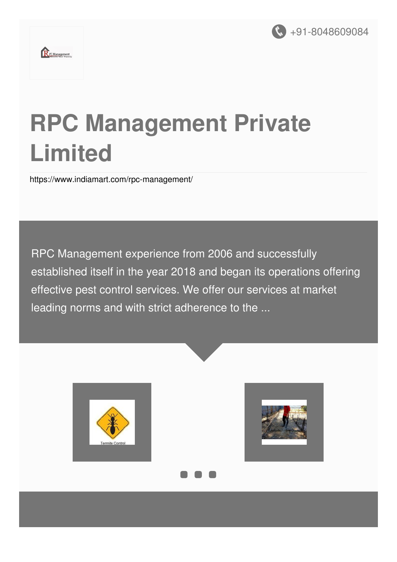

# **RPC Management Private Limited**

<https://www.indiamart.com/rpc-management/>

RPC Management experience from 2006 and successfully established itself in the year 2018 and began its operations offering effective pest control services. We offer our services at market leading norms and with strict adherence to the ...

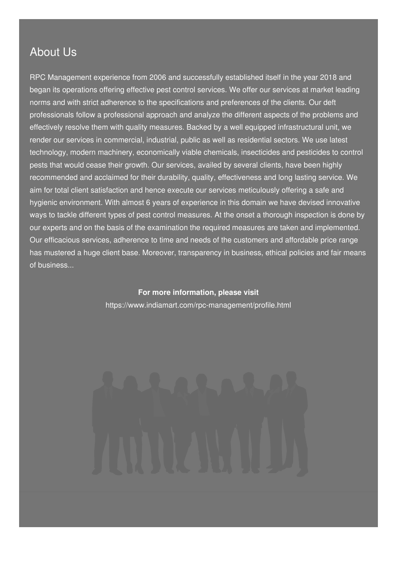### About Us

RPC Management experience from 2006 and successfully established itself in the year 2018 and began its operations offering effective pest control services. We offer our services at market leading norms and with strict adherence to the specifications and preferences of the clients. Our deft professionals follow a professional approach and analyze the different aspects of the problems and effectively resolve them with quality measures. Backed by a well equipped infrastructural unit, we render our services in commercial, industrial, public as well as residential sectors. We use latest technology, modern machinery, economically viable chemicals, insecticides and pesticides to control pests that would cease their growth. Our services, availed by several clients, have been highly recommended and acclaimed for their durability, quality, effectiveness and long lasting service. We aim for total client satisfaction and hence execute our services meticulously offering a safe and hygienic environment. With almost 6 years of experience in this domain we have devised innovative ways to tackle different types of pest control measures. At the onset a thorough inspection is done by our experts and on the basis of the examination the required measures are taken and implemented. Our efficacious services, adherence to time and needs of the customers and affordable price range has mustered a huge client base. Moreover, transparency in business, ethical policies and fair means of business...

> **For more information, please visit** <https://www.indiamart.com/rpc-management/profile.html>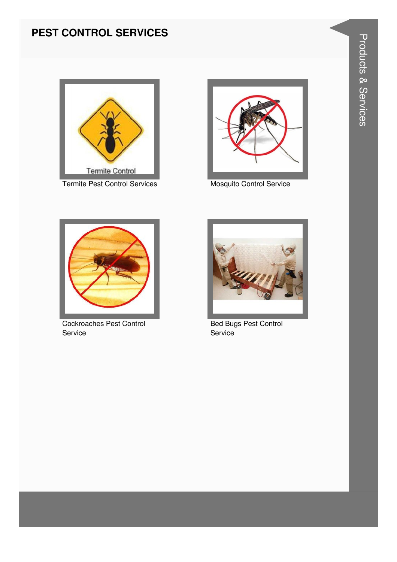#### **PEST CONTROL SERVICES**



**Termite Pest Control Services** 



Mosquito Control Service



**Cockroaches Pest Control** Service



**Bed Bugs Pest Control** Service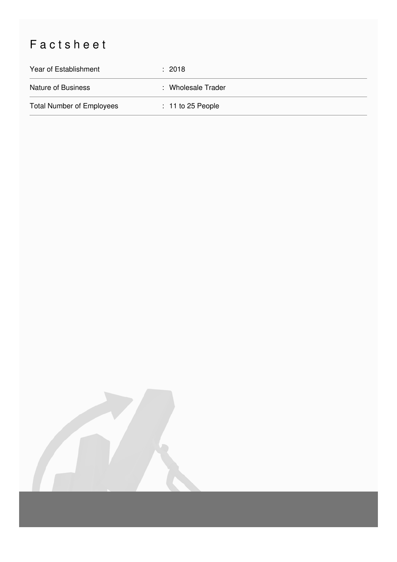## Factsheet

| Year of Establishment            | $\therefore$ 2018   |
|----------------------------------|---------------------|
| Nature of Business               | : Wholesale Trader  |
| <b>Total Number of Employees</b> | $: 11$ to 25 People |